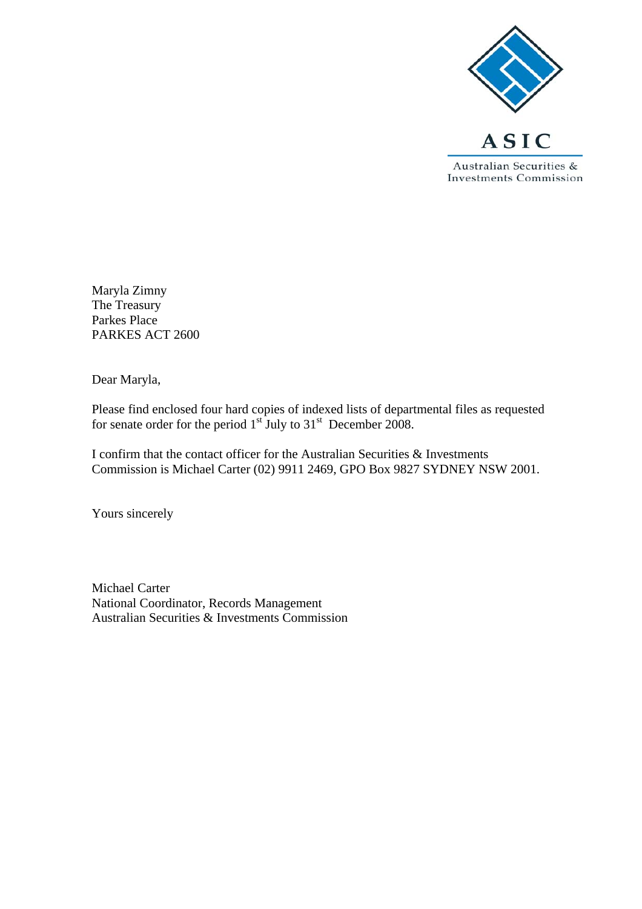

Maryla Zimny The Treasury Parkes Place PARKES ACT 2600

Dear Maryla,

Please find enclosed four hard copies of indexed lists of departmental files as requested for senate order for the period  $1<sup>st</sup>$  July to  $31<sup>st</sup>$  December 2008.

I confirm that the contact officer for the Australian Securities & Investments Commission is Michael Carter (02) 9911 2469, GPO Box 9827 SYDNEY NSW 2001.

Yours sincerely

Michael Carter National Coordinator, Records Management Australian Securities & Investments Commission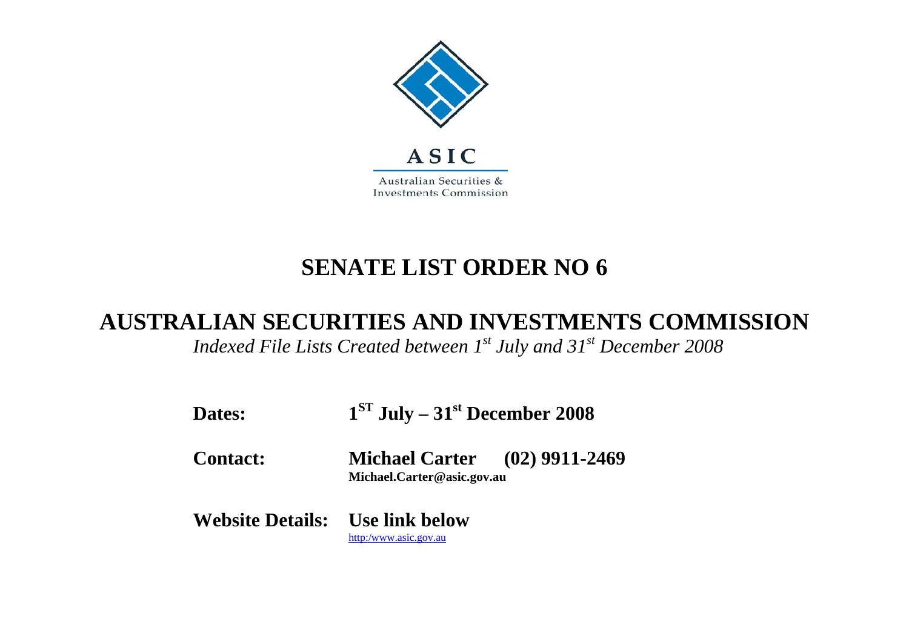

## **SENATE LIST ORDER NO 6**

## **AUSTRALIAN SECURITIES AND INVESTMENTS COMMISSION**

*Indexed File Lists Created between 1st July and 31st December 2008* 

| Dates:                                 | $1ST$ July – 31 <sup>st</sup> December 2008                        |  |
|----------------------------------------|--------------------------------------------------------------------|--|
| <b>Contact:</b>                        | <b>Michael Carter</b> (02) 9911-2469<br>Michael.Carter@asic.gov.au |  |
| <b>Website Details:</b> Use link below | http:/www.asic.gov.au                                              |  |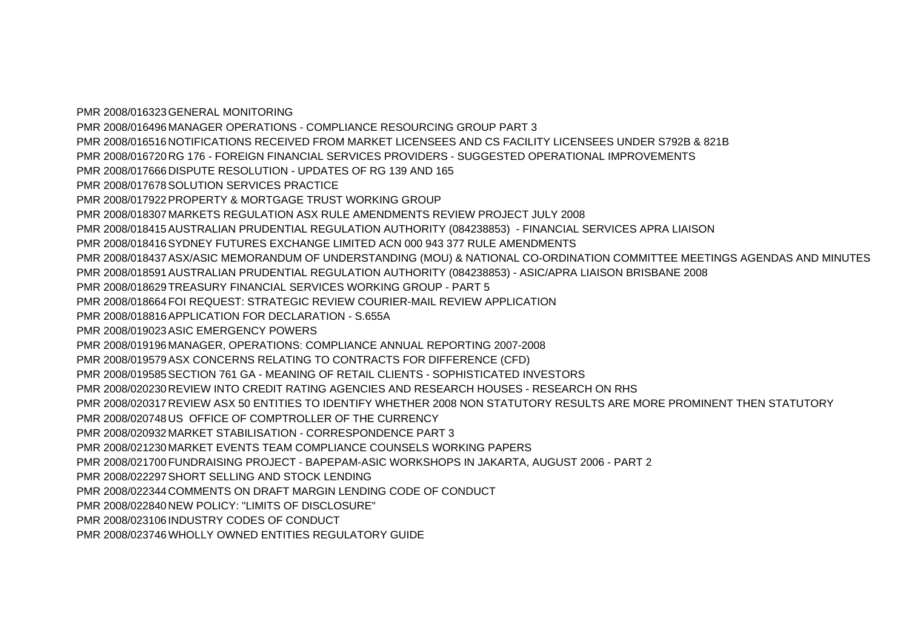PMR 2008/016323GENERAL MONITORING PMR 2008/016496 MANAGER OPERATIONS - COMPLIANCE RESOURCING GROUP PART 3 PMR 2008/016516NOTIFICATIONS RECEIVED FROM MARKET LICENSEES AND CS FACILITY LICENSEES UNDER S792B & 821B PMR 2008/016720 RG 176 - FOREIGN FINANCIAL SERVICES PROVIDERS - SUGGESTED OPERATIONAL IMPROVEMENTS PMR 2008/017666DISPUTE RESOLUTION - UPDATES OF RG 139 AND 165 PMR 2008/017678SOLUTION SERVICES PRACTICE PMR 2008/017922PROPERTY & MORTGAGE TRUST WORKING GROUP PMR 2008/018307 MARKETS REGULATION ASX RULE AMENDMENTS REVIEW PROJECT JULY 2008 PMR 2008/018415AUSTRALIAN PRUDENTIAL REGULATION AUTHORITY (084238853) - FINANCIAL SERVICES APRA LIAISON PMR 2008/018416SYDNEY FUTURES EXCHANGE LIMITED ACN 000 943 377 RULE AMENDMENTS PMR 2008/018437ASX/ASIC MEMORANDUM OF UNDERSTANDING (MOU) & NATIONAL CO-ORDINATION COMMITTEE MEETINGS AGENDAS AND MINUTES PMR 2008/018591AUSTRALIAN PRUDENTIAL REGULATION AUTHORITY (084238853) - ASIC/APRA LIAISON BRISBANE 2008 PMR 2008/018629TREASURY FINANCIAL SERVICES WORKING GROUP - PART 5 PMR 2008/018664FOI REQUEST: STRATEGIC REVIEW COURIER-MAIL REVIEW APPLICATION PMR 2008/018816APPLICATION FOR DECLARATION - S.655A PMR 2008/019023ASIC EMERGENCY POWERS PMR 2008/019196 MANAGER, OPERATIONS: COMPLIANCE ANNUAL REPORTING 2007-2008 PMR 2008/019579ASX CONCERNS RELATING TO CONTRACTS FOR DIFFERENCE (CFD) PMR 2008/019585SECTION 761 GA - MEANING OF RETAIL CLIENTS - SOPHISTICATED INVESTORS PMR 2008/020230REVIEW INTO CREDIT RATING AGENCIES AND RESEARCH HOUSES - RESEARCH ON RHS PMR 2008/020317REVIEW ASX 50 ENTITIES TO IDENTIFY WHETHER 2008 NON STATUTORY RESULTS ARE MORE PROMINENT THEN STATUTORY PMR 2008/020748US OFFICE OF COMPTROLLER OF THE CURRENCY PMR 2008/020932 MARKET STABILISATION - CORRESPONDENCE PART 3 PMR 2008/021230 MARKET EVENTS TEAM COMPLIANCE COUNSELS WORKING PAPERS PMR 2008/021700FUNDRAISING PROJECT - BAPEPAM-ASIC WORKSHOPS IN JAKARTA, AUGUST 2006 - PART 2 PMR 2008/022297SHORT SELLING AND STOCK LENDING PMR 2008/022344COMMENTS ON DRAFT MARGIN LENDING CODE OF CONDUCT PMR 2008/022840NEW POLICY: "LIMITS OF DISCLOSURE" PMR 2008/023106 INDUSTRY CODES OF CONDUCT PMR 2008/023746WHOLLY OWNED ENTITIES REGULATORY GUIDE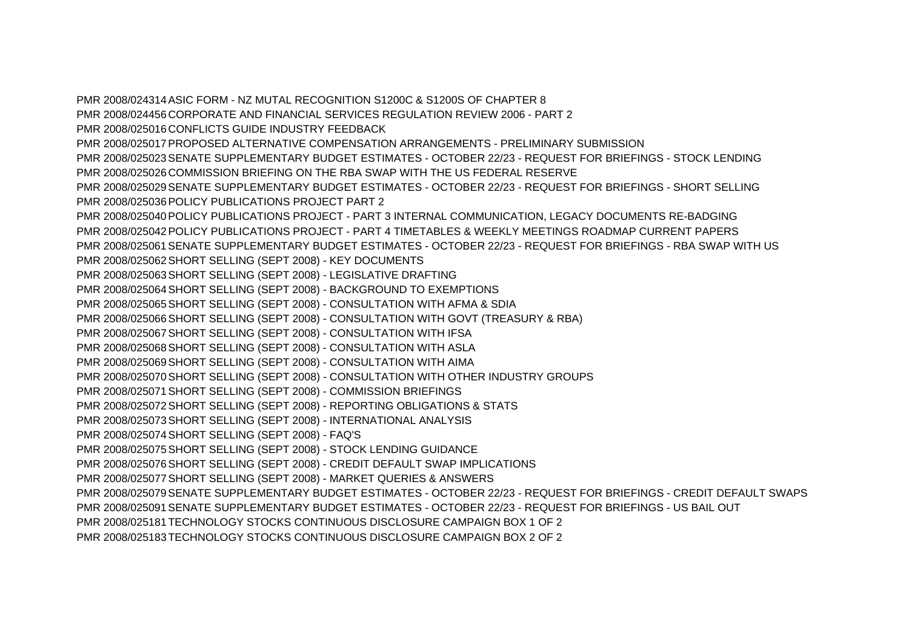PMR 2008/024314ASIC FORM - NZ MUTAL RECOGNITION S1200C & S1200S OF CHAPTER 8 PMR 2008/024456CORPORATE AND FINANCIAL SERVICES REGULATION REVIEW 2006 - PART 2 PMR 2008/025016CONFLICTS GUIDE INDUSTRY FEEDBACK PMR 2008/025017PROPOSED ALTERNATIVE COMPENSATION ARRANGEMENTS - PRELIMINARY SUBMISSION PMR 2008/025023SENATE SUPPLEMENTARY BUDGET ESTIMATES - OCTOBER 22/23 - REQUEST FOR BRIEFINGS - STOCK LENDING PMR 2008/025026 COMMISSION BRIEFING ON THE RBA SWAP WITH THE US FEDERAL RESERVE PMR 2008/025029SENATE SUPPLEMENTARY BUDGET ESTIMATES - OCTOBER 22/23 - REQUEST FOR BRIEFINGS - SHORT SELLING PMR 2008/025036POLICY PUBLICATIONS PROJECT PART 2 PMR 2008/025040POLICY PUBLICATIONS PROJECT - PART 3 INTERNAL COMMUNICATION, LEGACY DOCUMENTS RE-BADGING PMR 2008/025042POLICY PUBLICATIONS PROJECT - PART 4 TIMETABLES & WEEKLY MEETINGS ROADMAP CURRENT PAPERS PMR 2008/025061SENATE SUPPLEMENTARY BUDGET ESTIMATES - OCTOBER 22/23 - REQUEST FOR BRIEFINGS - RBA SWAP WITH US PMR 2008/025062SHORT SELLING (SEPT 2008) - KEY DOCUMENTS PMR 2008/025063SHORT SELLING (SEPT 2008) - LEGISLATIVE DRAFTING PMR 2008/025064SHORT SELLING (SEPT 2008) - BACKGROUND TO EXEMPTIONS PMR 2008/025065SHORT SELLING (SEPT 2008) - CONSULTATION WITH AFMA & SDIA PMR 2008/025066SHORT SELLING (SEPT 2008) - CONSULTATION WITH GOVT (TREASURY & RBA) PMR 2008/025067SHORT SELLING (SEPT 2008) - CONSULTATION WITH IFSA PMR 2008/025068SHORT SELLING (SEPT 2008) - CONSULTATION WITH ASLA PMR 2008/025069SHORT SELLING (SEPT 2008) - CONSULTATION WITH AIMA PMR 2008/025070SHORT SELLING (SEPT 2008) - CONSULTATION WITH OTHER INDUSTRY GROUPS PMR 2008/025071SHORT SELLING (SEPT 2008) - COMMISSION BRIEFINGS PMR 2008/025072SHORT SELLING (SEPT 2008) - REPORTING OBLIGATIONS & STATS PMR 2008/025073SHORT SELLING (SEPT 2008) - INTERNATIONAL ANALYSIS PMR 2008/025074SHORT SELLING (SEPT 2008) - FAQ'S PMR 2008/025075SHORT SELLING (SEPT 2008) - STOCK LENDING GUIDANCE PMR 2008/025076SHORT SELLING (SEPT 2008) - CREDIT DEFAULT SWAP IMPLICATIONS PMR 2008/025077SHORT SELLING (SEPT 2008) - MARKET QUERIES & ANSWERS PMR 2008/025079SENATE SUPPLEMENTARY BUDGET ESTIMATES - OCTOBER 22/23 - REQUEST FOR BRIEFINGS - CREDIT DEFAULT SWAPS PMR 2008/025091SENATE SUPPLEMENTARY BUDGET ESTIMATES - OCTOBER 22/23 - REQUEST FOR BRIEFINGS - US BAIL OUT PMR 2008/025181TECHNOLOGY STOCKS CONTINUOUS DISCLOSURE CAMPAIGN BOX 1 OF 2 PMR 2008/025183TECHNOLOGY STOCKS CONTINUOUS DISCLOSURE CAMPAIGN BOX 2 OF 2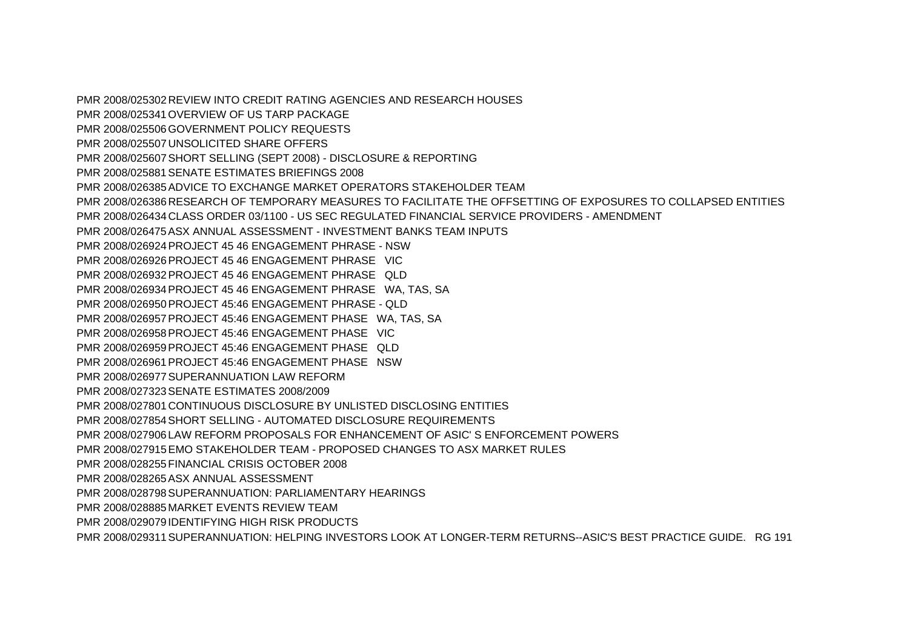PMR 2008/025302 REVIEW INTO CREDIT RATING AGENCIES AND RESEARCH HOUSES PMR 2008/025341OVERVIEW OF US TARP PACKAGE PMR 2008/025506GOVERNMENT POLICY REQUESTS PMR 2008/025507UNSOLICITED SHARE OFFERS PMR 2008/025607SHORT SELLING (SEPT 2008) - DISCLOSURE & REPORTING PMR 2008/025881SENATE ESTIMATES BRIEFINGS 2008 PMR 2008/026385ADVICE TO EXCHANGE MARKET OPERATORS STAKEHOLDER TEAM PMR 2008/026386RESEARCH OF TEMPORARY MEASURES TO FACILITATE THE OFFSETTING OF EXPOSURES TO COLLAPSED ENTITIES PMR 2008/026434CLASS ORDER 03/1100 - US SEC REGULATED FINANCIAL SERVICE PROVIDERS - AMENDMENT PMR 2008/026475ASX ANNUAL ASSESSMENT - INVESTMENT BANKS TEAM INPUTS PMR 2008/026924PROJECT 45 46 ENGAGEMENT PHRASE - NSW PMR 2008/026926PROJECT 45 46 ENGAGEMENT PHRASE VIC PMR 2008/026932PROJECT 45 46 ENGAGEMENT PHRASE QLD PMR 2008/026934PROJECT 45 46 ENGAGEMENT PHRASE WA, TAS, SA PMR 2008/026950PROJECT 45:46 ENGAGEMENT PHRASE - QLD PMR 2008/026957PROJECT 45:46 ENGAGEMENT PHASE WA, TAS, SA PMR 2008/026958PROJECT 45:46 ENGAGEMENT PHASE VIC PMR 2008/026959PROJECT 45:46 ENGAGEMENT PHASE QLD PMR 2008/026961 PROJECT 45:46 ENGAGEMENT PHASE NSW PMR 2008/026977SUPERANNUATION LAW REFORM PMR 2008/027323SENATE ESTIMATES 2008/2009 PMR 2008/027801 CONTINUOUS DISCLOSURE BY UNLISTED DISCLOSING ENTITIES PMR 2008/027854 SHORT SELLING - AUTOMATED DISCLOSURE REQUIREMENTS PMR 2008/027906 LAW REFORM PROPOSALS FOR ENHANCEMENT OF ASIC' S ENFORCEMENT POWERS PMR 2008/027915EMO STAKEHOLDER TEAM - PROPOSED CHANGES TO ASX MARKET RULES PMR 2008/028255FINANCIAL CRISIS OCTOBER 2008 PMR 2008/028265ASX ANNUAL ASSESSMENT PMR 2008/028798SUPERANNUATION: PARLIAMENTARY HEARINGS PMR 2008/028885 MARKET EVENTS REVIEW TEAM PMR 2008/029079 IDENTIFYING HIGH RISK PRODUCTS PMR 2008/029311SUPERANNUATION: HELPING INVESTORS LOOK AT LONGER-TERM RETURNS--ASIC'S BEST PRACTICE GUIDE. RG 191